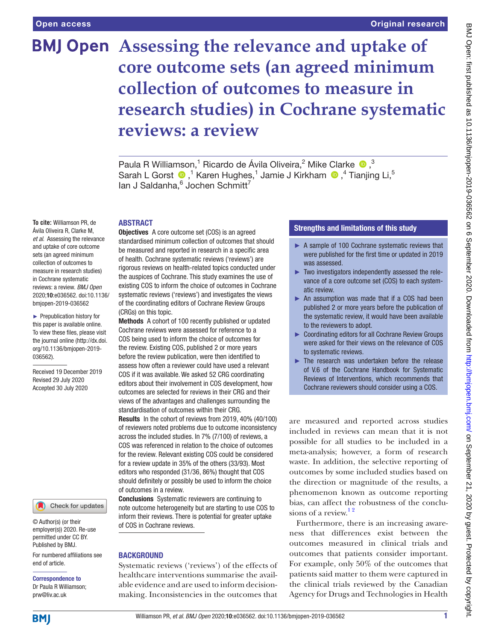# **BMJ Open** Assessing the relevance and uptake of **core outcome sets (an agreed minimum collection of outcomes to measure in research studies) in Cochrane systematic reviews: a review**

PaulaR Williamson,<sup>1</sup> Ricardo de Ávila Oliveira,<sup>2</sup> Mike Clarke <sup>1</sup>,<sup>3</sup> SarahL Gorst  $\bigcirc$ ,<sup>1</sup> Karen Hughes,<sup>1</sup> Jamie J Kirkham  $\bigcirc$ ,<sup>4</sup> Tianjing Li,<sup>5</sup> lan J Saldanha,<sup>6</sup> Jochen Schmitt<sup>7</sup>

## ABSTRACT

**To cite:** Williamson PR, de Ávila Oliveira R, Clarke M, *et al*. Assessing the relevance and uptake of core outcome sets (an agreed minimum collection of outcomes to measure in research studies) in Cochrane systematic reviews: a review. *BMJ Open* 2020;10:e036562. doi:10.1136/ bmjopen-2019-036562

► Prepublication history for this paper is available online. To view these files, please visit the journal online (http://dx.doi. org/10.1136/bmjopen-2019- 036562).

Received 19 December 2019 Revised 29 July 2020 Accepted 30 July 2020



© Author(s) (or their employer(s)) 2020. Re-use permitted under CC BY. Published by BMJ.

For numbered affiliations see end of article.

Correspondence to Dr Paula R Williamson; prw@liv.ac.uk

Objectives A core outcome set (COS) is an agreed standardised minimum collection of outcomes that should be measured and reported in research in a specific area of health. Cochrane systematic reviews ('reviews') are rigorous reviews on health-related topics conducted under the auspices of Cochrane. This study examines the use of existing COS to inform the choice of outcomes in Cochrane systematic reviews ('reviews') and investigates the views of the coordinating editors of Cochrane Review Groups (CRGs) on this topic.

Methods A cohort of 100 recently published or updated Cochrane reviews were assessed for reference to a COS being used to inform the choice of outcomes for the review. Existing COS, published 2 or more years before the review publication, were then identified to assess how often a reviewer could have used a relevant COS if it was available. We asked 52 CRG coordinating editors about their involvement in COS development, how outcomes are selected for reviews in their CRG and their views of the advantages and challenges surrounding the standardisation of outcomes within their CRG. Results In the cohort of reviews from 2019, 40% (40/100) of reviewers noted problems due to outcome inconsistency

across the included studies. In 7% (7/100) of reviews, a COS was referenced in relation to the choice of outcomes for the review. Relevant existing COS could be considered for a review update in 35% of the others (33/93). Most editors who responded (31/36, 86%) thought that COS should definitely or possibly be used to inform the choice of outcomes in a review.

Conclusions Systematic reviewers are continuing to note outcome heterogeneity but are starting to use COS to inform their reviews. There is potential for greater uptake of COS in Cochrane reviews.

# **BACKGROUND**

Systematic reviews ('reviews') of the effects of healthcare interventions summarise the available evidence and are used to inform decisionmaking. Inconsistencies in the outcomes that

# Strengths and limitations of this study

- ► A sample of 100 Cochrane systematic reviews that were published for the first time or updated in 2019 was assessed.
- ► Two investigators independently assessed the relevance of a core outcome set (COS) to each systematic review.
- ► An assumption was made that if a COS had been published 2 or more years before the publication of the systematic review, it would have been available to the reviewers to adopt.
- ► Coordinating editors for all Cochrane Review Groups were asked for their views on the relevance of COS to systematic reviews.
- ► The research was undertaken before the release of V.6 of the Cochrane Handbook for Systematic Reviews of Interventions, which recommends that Cochrane reviewers should consider using a COS.

are measured and reported across studies included in reviews can mean that it is not possible for all studies to be included in a meta-analysis; however, a form of research waste. In addition, the selective reporting of outcomes by some included studies based on the direction or magnitude of the results, a phenomenon known as outcome reporting bias, can affect the robustness of the conclusions of a review. $12$ 

Furthermore, there is an increasing awareness that differences exist between the outcomes measured in clinical trials and outcomes that patients consider important. For example, only 50% of the outcomes that patients said matter to them were captured in the clinical trials reviewed by the Canadian Agency for Drugs and Technologies in Health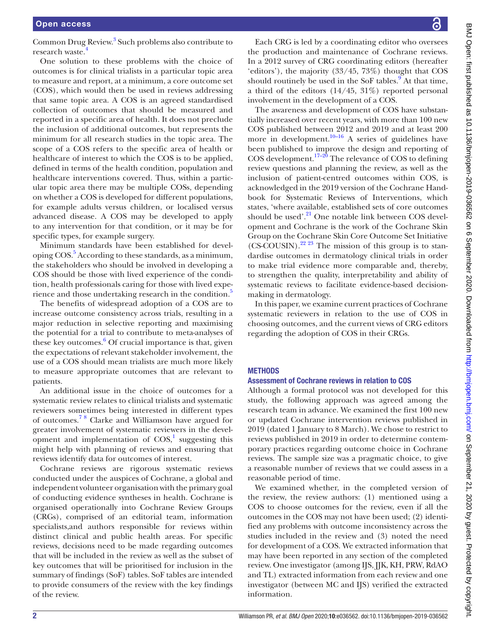Common Drug Review.<sup>[3](#page-6-1)</sup> Such problems also contribute to research waste.<sup>[4](#page-6-2)</sup>

One solution to these problems with the choice of outcomes is for clinical trialists in a particular topic area to measure and report, at a minimum, a core outcome set (COS), which would then be used in reviews addressing that same topic area. A COS is an agreed standardised collection of outcomes that should be measured and reported in a specific area of health. It does not preclude the inclusion of additional outcomes, but represents the minimum for all research studies in the topic area. The scope of a COS refers to the specific area of health or healthcare of interest to which the COS is to be applied, defined in terms of the health condition, population and healthcare interventions covered. Thus, within a particular topic area there may be multiple COSs, depending on whether a COS is developed for different populations, for example adults versus children, or localised versus advanced disease. A COS may be developed to apply to any intervention for that condition, or it may be for specific types, for example surgery.

Minimum standards have been established for devel-oping COS.<sup>[5](#page-6-3)</sup> According to these standards, as a minimum, the stakeholders who should be involved in developing a COS should be those with lived experience of the condition, health professionals caring for those with lived expe-rience and those undertaking research in the condition.<sup>[5](#page-6-3)</sup>

The benefits of widespread adoption of a COS are to increase outcome consistency across trials, resulting in a major reduction in selective reporting and maximising the potential for a trial to contribute to meta-analyses of these key outcomes.<sup>[6](#page-6-4)</sup> Of crucial importance is that, given the expectations of relevant stakeholder involvement, the use of a COS should mean trialists are much more likely to measure appropriate outcomes that are relevant to patients.

An additional issue in the choice of outcomes for a systematic review relates to clinical trialists and systematic reviewers sometimes being interested in different types of outcomes.[7 8](#page-6-5) Clarke and Williamson have argued for greater involvement of systematic reviewers in the development and implementation of  $COS<sup>1</sup>$  $COS<sup>1</sup>$  $COS<sup>1</sup>$ , suggesting this might help with planning of reviews and ensuring that reviews identify data for outcomes of interest.

Cochrane reviews are rigorous systematic reviews conducted under the auspices of Cochrane, a global and independent volunteer organisation with the primary goal of conducting evidence syntheses in health. Cochrane is organised operationally into Cochrane Review Groups (CRGs), comprised of an editorial team, information specialists,and authors responsible for reviews within distinct clinical and public health areas. For specific reviews, decisions need to be made regarding outcomes that will be included in the review as well as the subset of key outcomes that will be prioritised for inclusion in the summary of findings (SoF) tables. SoF tables are intended to provide consumers of the review with the key findings of the review.

Each CRG is led by a coordinating editor who oversees the production and maintenance of Cochrane reviews. In a 2012 survey of CRG coordinating editors (hereafter 'editors'), the majority (33/45, 73%) thought that COS should routinely be used in the SoF tables. $9^{\degree}$  $9^{\degree}$ At that time, a third of the editors  $(14/45, 31\%)$  reported personal involvement in the development of a COS. The awareness and development of COS have substantially increased over recent years, with more than 100 new COS published between 2012 and 2019 and at least 200 more in development.<sup>10–16</sup> A series of guidelines have been published to improve the design and reporting of  $COS development.$ <sup>[17–20](#page-6-8)</sup> The relevance of COS to defining review questions and planning the review, as well as the inclusion of patient-centred outcomes within COS, is acknowledged in the 2019 version of the Cochrane Handbook for Systematic Reviews of Interventions, which states, 'where available, established sets of core outcomes should be used'.<sup>21</sup> One notable link between COS development and Cochrane is the work of the Cochrane Skin Group on the Cochrane Skin Core Outcome Set Initiative  $(CS-COUSIN).<sup>22 23</sup>$  $(CS-COUSIN).<sup>22 23</sup>$  $(CS-COUSIN).<sup>22 23</sup>$  The mission of this group is to standardise outcomes in dermatology clinical trials in order to make trial evidence more comparable and, thereby, to strengthen the quality, interpretability and ability of systematic reviews to facilitate evidence-based decisionmaking in dermatology.

In this paper, we examine current practices of Cochrane systematic reviewers in relation to the use of COS in choosing outcomes, and the current views of CRG editors regarding the adoption of COS in their CRGs.

# **METHODS**

# Assessment of Cochrane reviews in relation to COS

Although a formal protocol was not developed for this study, the following approach was agreed among the research team in advance. We examined the first 100 new or updated Cochrane intervention reviews published in 2019 (dated 1 January to 8 March). We chose to restrict to reviews published in 2019 in order to determine contemporary practices regarding outcome choice in Cochrane reviews. The sample size was a pragmatic choice, to give a reasonable number of reviews that we could assess in a reasonable period of time.

We examined whether, in the completed version of the review, the review authors: (1) mentioned using a COS to choose outcomes for the review, even if all the outcomes in the COS may not have been used; (2) identified any problems with outcome inconsistency across the studies included in the review and (3) noted the need for development of a COS. We extracted information that may have been reported in any section of the completed review. One investigator (among IJS, JJK, KH, PRW, RdAO and TL) extracted information from each review and one investigator (between MC and IJS) verified the extracted information.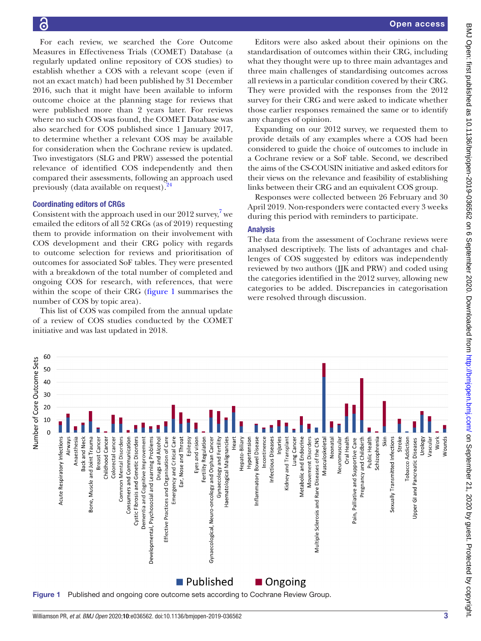Open access

For each review, we searched the Core Outcome Measures in Effectiveness Trials (COMET) Database (a regularly updated online repository of COS studies) to establish whether a COS with a relevant scope (even if not an exact match) had been published by 31 December 2016, such that it might have been available to inform outcome choice at the planning stage for reviews that were published more than 2 years later. For reviews where no such COS was found, the COMET Database was also searched for COS published since 1 January 2017, to determine whether a relevant COS may be available for consideration when the Cochrane review is updated. Two investigators (SLG and PRW) assessed the potential relevance of identified COS independently and then compared their assessments, following an approach used previously (data available on request).<sup>2</sup>

## Coordinating editors of CRGs

Consistent with the approach used in our 2012 survey, $7$  we emailed the editors of all 52 CRGs (as of 2019) requesting them to provide information on their involvement with COS development and their CRG policy with regards to outcome selection for reviews and prioritisation of outcomes for associated SoF tables. They were presented with a breakdown of the total number of completed and ongoing COS for research, with references, that were within the scope of their CRG [\(figure](#page-2-0) 1 summarises the number of COS by topic area).

This list of COS was compiled from the annual update of a review of COS studies conducted by the COMET initiative and was last updated in 2018.

Editors were also asked about their opinions on the standardisation of outcomes within their CRG, including what they thought were up to three main advantages and three main challenges of standardising outcomes across all reviews in a particular condition covered by their CRG. They were provided with the responses from the 2012 survey for their CRG and were asked to indicate whether those earlier responses remained the same or to identify any changes of opinion.

Expanding on our 2012 survey, we requested them to provide details of any examples where a COS had been considered to guide the choice of outcomes to include in a Cochrane review or a SoF table. Second, we described the aims of the CS-COUSIN initiative and asked editors for their views on the relevance and feasibility of establishing links between their CRG and an equivalent COS group.

Responses were collected between 26 February and 30 April 2019. Non-responders were contacted every 3 weeks during this period with reminders to participate.

# Analysis

The data from the assessment of Cochrane reviews were analysed descriptively. The lists of advantages and challenges of COS suggested by editors was independently reviewed by two authors (JJK and PRW) and coded using the categories identified in the 2012 survey, allowing new categories to be added. Discrepancies in categorisation were resolved through discussion.

<span id="page-2-0"></span>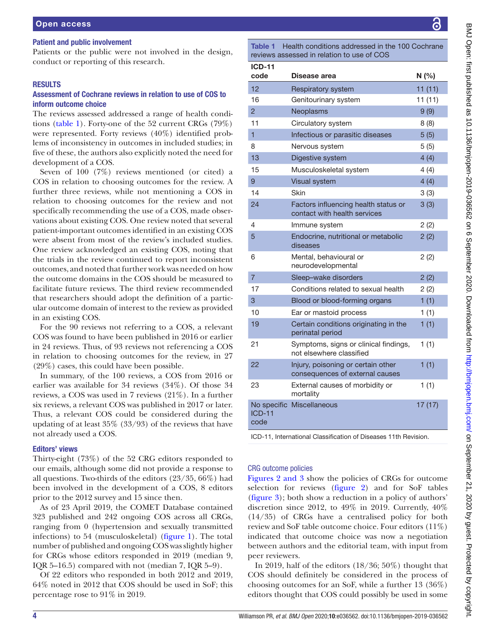#### Patient and public involvement

Patients or the public were not involved in the design, conduct or reporting of this research.

#### RESULTS

# Assessment of Cochrane reviews in relation to use of COS to inform outcome choice

The reviews assessed addressed a range of health conditions [\(table](#page-3-0) 1). Forty-one of the 52 current CRGs (79%) were represented. Forty reviews (40%) identified problems of inconsistency in outcomes in included studies; in five of these, the authors also explicitly noted the need for development of a COS.

Seven of 100 (7%) reviews mentioned (or cited) a COS in relation to choosing outcomes for the review. A further three reviews, while not mentioning a COS in relation to choosing outcomes for the review and not specifically recommending the use of a COS, made observations about existing COS. One review noted that several patient-important outcomes identified in an existing COS were absent from most of the review's included studies. One review acknowledged an existing COS, noting that the trials in the review continued to report inconsistent outcomes, and noted that further work was needed on how the outcome domains in the COS should be measured to facilitate future reviews. The third review recommended that researchers should adopt the definition of a particular outcome domain of interest to the review as provided in an existing COS.

For the 90 reviews not referring to a COS, a relevant COS was found to have been published in 2016 or earlier in 24 reviews. Thus, of 93 reviews not referencing a COS in relation to choosing outcomes for the review, in 27 (29%) cases, this could have been possible.

In summary, of the 100 reviews, a COS from 2016 or earlier was available for 34 reviews (34%). Of those 34 reviews, a COS was used in 7 reviews (21%). In a further six reviews, a relevant COS was published in 2017 or later. Thus, a relevant COS could be considered during the updating of at least 35% (33/93) of the reviews that have not already used a COS.

#### Editors' views

Thirty-eight (73%) of the 52 CRG editors responded to our emails, although some did not provide a response to all questions. Two-thirds of the editors (23/35, 66%) had been involved in the development of a COS, 8 editors prior to the 2012 survey and 15 since then.

As of 23 April 2019, the COMET Database contained 323 published and 242 ongoing COS across all CRGs, ranging from 0 (hypertension and sexually transmitted infections) to 54 (musculoskeletal) ([figure](#page-2-0) 1). The total number of published and ongoing COS was slightly higher for CRGs whose editors responded in 2019 (median 9, IQR 5–16.5) compared with not (median 7, IQR 5–9).

Of 22 editors who responded in both 2012 and 2019, 64% noted in 2012 that COS should be used in SoF; this percentage rose to 91% in 2019.

<span id="page-3-0"></span>Table 1 Health conditions addressed in the 100 Cochrane reviews assessed in relation to use of COS

| <b>ICD-11</b><br>code | Disease area                                                          | N(%)   |
|-----------------------|-----------------------------------------------------------------------|--------|
| 12                    | <b>Respiratory system</b>                                             | 11(11) |
| 16                    | Genitourinary system                                                  | 11(11) |
| $\overline{2}$        | Neoplasms                                                             | 9(9)   |
| 11                    | Circulatory system                                                    | 8(8)   |
| 1                     | Infectious or parasitic diseases                                      | 5(5)   |
| 8                     | Nervous system                                                        | 5(5)   |
| 13                    | Digestive system                                                      | 4(4)   |
| 15                    | Musculoskeletal system                                                | 4(4)   |
| 9                     | <b>Visual system</b>                                                  | 4(4)   |
| 14                    | Skin                                                                  | 3(3)   |
| 24                    | Factors influencing health status or<br>contact with health services  | 3(3)   |
| 4                     | Immune system                                                         | 2(2)   |
| 5                     | Endocrine, nutritional or metabolic<br>diseases                       | 2(2)   |
| 6                     | Mental, behavioural or<br>neurodevelopmental                          | 2(2)   |
| $\overline{7}$        | Sleep-wake disorders                                                  | 2(2)   |
| 17                    | Conditions related to sexual health                                   | 2(2)   |
| 3                     | Blood or blood-forming organs                                         | 1(1)   |
| 10                    | Ear or mastoid process                                                | 1(1)   |
| 19                    | Certain conditions originating in the<br>perinatal period             | 1(1)   |
| 21                    | Symptoms, signs or clinical findings,<br>not elsewhere classified     | 1(1)   |
| 22                    | Injury, poisoning or certain other<br>consequences of external causes | 1(1)   |
| 23                    | External causes of morbidity or<br>mortality                          | 1(1)   |
| $ICD-11$<br>code      | No specific Miscellaneous                                             | 17(17) |

ICD-11, International Classification of Diseases 11th Revision.

## CRG outcome policies

Figures [2 and 3](#page-4-0) show the policies of CRGs for outcome selection for reviews [\(figure](#page-4-0) 2) and for SoF tables [\(figure](#page-4-1) 3); both show a reduction in a policy of authors' discretion since 2012, to 49% in 2019. Currently, 40% (14/35) of CRGs have a centralised policy for both review and SoF table outcome choice. Four editors (11%) indicated that outcome choice was now a negotiation between authors and the editorial team, with input from peer reviewers.

In 2019, half of the editors  $(18/36; 50\%)$  thought that COS should definitely be considered in the process of choosing outcomes for an SoF, while a further 13 (36%) editors thought that COS could possibly be used in some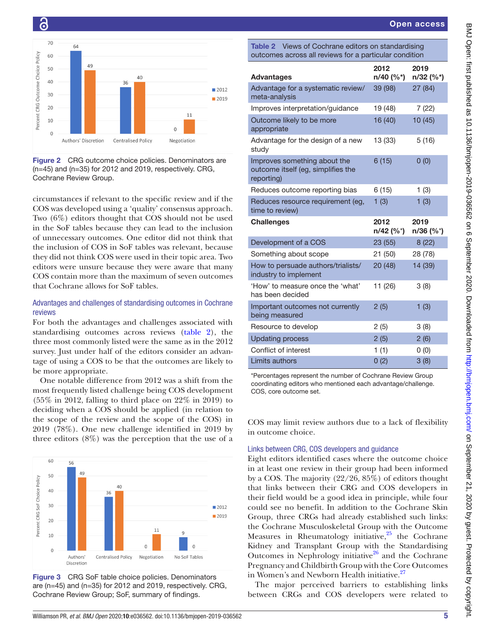2019 n/32 (%\*)

39 (98) 27 (84)

16 (40) 10 (45)

13 (33) 5 (16)

6 (15) 0 (0)

2012 n/40 (%\*)

<span id="page-4-2"></span>

## Reduces outcome reporting bias  $6 (15)$  1 (3) Reduces resource requirement (eq.  $1(3)$   $1(3)$ Challenges 2012 n/42 (%\*) 2019 n/36 (%\*) Development of a COS 23 (55) 8 (22) Something about scope 21 (50) 28 (78) How to persuade authors/trialists/ 20 (48) 14 (39) 'How' to measure once the 'what' 11 (26) 3 (8) Important outcomes not currently being measured  $2(5)$  1 (3) Resource to develop 2 (5) 3 (8) Updating process 2 (5) 2 (6) Conflict of interest 1 (1) 0 (0) Limits authors  $0 (2)$  3 (8)

\*Percentages represent the number of Cochrane Review Group coordinating editors who mentioned each advantage/challenge. COS, core outcome set.

COS may limit review authors due to a lack of flexibility in outcome choice.

# Links between CRG, COS developers and guidance

Eight editors identified cases where the outcome choice in at least one review in their group had been informed by a COS. The majority (22/26, 85%) of editors thought that links between their CRG and COS developers in their field would be a good idea in principle, while four could see no benefit. In addition to the Cochrane Skin Group, three CRGs had already established such links: the Cochrane Musculoskeletal Group with the Outcome Measures in Rheumatology initiative,<sup>25</sup> the Cochrane Kidney and Transplant Group with the Standardising Outcomes in Nephrology initiative $26$  and the Cochrane Pregnancy and Childbirth Group with the Core Outcomes in Women's and Newborn Health initiative.<sup>27</sup>

The major perceived barriers to establishing links between CRGs and COS developers were related to



Ō

<span id="page-4-0"></span>Figure 2 CRG outcome choice policies. Denominators are (n=45) and (n=35) for 2012 and 2019, respectively. CRG, Cochrane Review Group.

circumstances if relevant to the specific review and if the COS was developed using a 'quality' consensus approach. Two (6%) editors thought that COS should not be used in the SoF tables because they can lead to the inclusion of unnecessary outcomes. One editor did not think that the inclusion of COS in SoF tables was relevant, because they did not think COS were used in their topic area. Two editors were unsure because they were aware that many COS contain more than the maximum of seven outcomes that Cochrane allows for SoF tables.

# Advantages and challenges of standardising outcomes in Cochrane reviews

For both the advantages and challenges associated with standardising outcomes across reviews ([table](#page-4-2) 2), the three most commonly listed were the same as in the 2012 survey. Just under half of the editors consider an advantage of using a COS to be that the outcomes are likely to be more appropriate.

One notable difference from 2012 was a shift from the most frequently listed challenge being COS development (55% in 2012, falling to third place on 22% in 2019) to deciding when a COS should be applied (in relation to the scope of the review and the scope of the COS) in 2019 (78%). One new challenge identified in 2019 by three editors (8%) was the perception that the use of a



<span id="page-4-1"></span>Figure 3 CRG SoF table choice policies. Denominators are (n=45) and (n=35) for 2012 and 2019, respectively. CRG, Cochrane Review Group; SoF, summary of findings.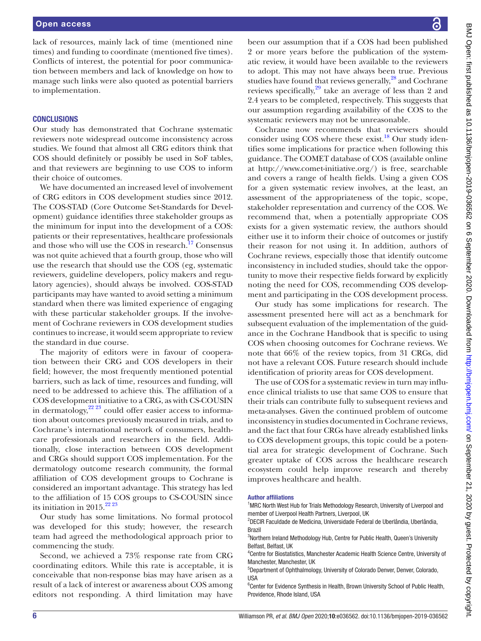lack of resources, mainly lack of time (mentioned nine times) and funding to coordinate (mentioned five times). Conflicts of interest, the potential for poor communication between members and lack of knowledge on how to manage such links were also quoted as potential barriers to implementation.

#### **CONCLUSIONS**

Our study has demonstrated that Cochrane systematic reviewers note widespread outcome inconsistency across studies. We found that almost all CRG editors think that COS should definitely or possibly be used in SoF tables, and that reviewers are beginning to use COS to inform their choice of outcomes.

We have documented an increased level of involvement of CRG editors in COS development studies since 2012. The COS-STAD (Core Outcome Set-Standards for Development) guidance identifies three stakeholder groups as the minimum for input into the development of a COS: patients or their representatives, healthcare professionals and those who will use the COS in research.<sup>17</sup> Consensus was not quite achieved that a fourth group, those who will use the research that should use the COS (eg, systematic reviewers, guideline developers, policy makers and regulatory agencies), should always be involved. COS-STAD participants may have wanted to avoid setting a minimum standard when there was limited experience of engaging with these particular stakeholder groups. If the involvement of Cochrane reviewers in COS development studies continues to increase, it would seem appropriate to review the standard in due course.

The majority of editors were in favour of cooperation between their CRG and COS developers in their field; however, the most frequently mentioned potential barriers, such as lack of time, resources and funding, will need to be addressed to achieve this. The affiliation of a COS development initiative to a CRG, as with CS-COUSIN in dermatology,<sup>[22 23](#page-6-10)</sup> could offer easier access to information about outcomes previously measured in trials, and to Cochrane's international network of consumers, healthcare professionals and researchers in the field. Additionally, close interaction between COS development and CRGs should support COS implementation. For the dermatology outcome research community, the formal affiliation of COS development groups to Cochrane is considered an important advantage. This strategy has led to the affiliation of 15 COS groups to CS-COUSIN since its initiation in 2015. $22^{223}$ 

Our study has some limitations. No formal protocol was developed for this study; however, the research team had agreed the methodological approach prior to commencing the study.

Second, we achieved a 73% response rate from CRG coordinating editors. While this rate is acceptable, it is conceivable that non-response bias may have arisen as a result of a lack of interest or awareness about COS among editors not responding. A third limitation may have

been our assumption that if a COS had been published 2 or more years before the publication of the systematic review, it would have been available to the reviewers to adopt. This may not have always been true. Previous studies have found that reviews generally, $^{28}$  and Cochrane reviews specifically,<sup>29</sup> take an average of less than 2 and 2.4 years to be completed, respectively. This suggests that our assumption regarding availability of the COS to the systematic reviewers may not be unreasonable.

Cochrane now recommends that reviewers should consider using COS where these exist.<sup>18</sup> Our study identifies some implications for practice when following this guidance. The COMET database of COS (available online at <http://www.comet-initiative.org/>) is free, searchable and covers a range of health fields. Using a given COS for a given systematic review involves, at the least, an assessment of the appropriateness of the topic, scope, stakeholder representation and currency of the COS. We recommend that, when a potentially appropriate COS exists for a given systematic review, the authors should either use it to inform their choice of outcomes or justify their reason for not using it. In addition, authors of Cochrane reviews, especially those that identify outcome inconsistency in included studies, should take the opportunity to move their respective fields forward by explicitly noting the need for COS, recommending COS development and participating in the COS development process.

Our study has some implications for research. The assessment presented here will act as a benchmark for subsequent evaluation of the implementation of the guidance in the Cochrane Handbook that is specific to using COS when choosing outcomes for Cochrane reviews. We note that 66% of the review topics, from 31 CRGs, did not have a relevant COS. Future research should include identification of priority areas for COS development.

The use of COS for a systematic review in turn may influence clinical trialists to use that same COS to ensure that their trials can contribute fully to subsequent reviews and meta-analyses. Given the continued problem of outcome inconsistency in studies documented in Cochrane reviews, and the fact that four CRGs have already established links to COS development groups, this topic could be a potential area for strategic development of Cochrane. Such greater uptake of COS across the healthcare research ecosystem could help improve research and thereby improves healthcare and health.

#### Author affiliations

<sup>1</sup>MRC North West Hub for Trials Methodology Research, University of Liverpool and member of Liverpool Health Partners, Liverpool, UK

2 DECIR Faculdade de Medicina, Universidade Federal de Uberlândia, Uberlândia, Brazil

<sup>3</sup>Northern Ireland Methodology Hub, Centre for Public Health, Queen's University Belfast, Belfast, UK

4 Centre for Biostatistics, Manchester Academic Health Science Centre, University of Manchester, Manchester, UK

5 Department of Ophthalmology, University of Colorado Denver, Denver, Colorado, USA

<sup>6</sup> Center for Evidence Synthesis in Health, Brown University School of Public Health, Providence, Rhode Island, USA